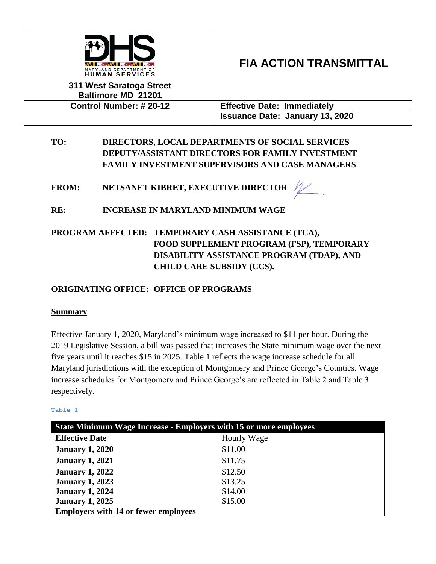

# **FIA ACTION TRANSMITTAL**

**311 West Saratoga Street Baltimore MD 21201**

**Control Number: # 20-12 Effective Date: Immediately Issuance Date: January 13, 2020**

**TO: DIRECTORS, LOCAL DEPARTMENTS OF SOCIAL SERVICES DEPUTY/ASSISTANT DIRECTORS FOR FAMILY INVESTMENT FAMILY INVESTMENT SUPERVISORS AND CASE MANAGERS**

**FROM: NETSANET KIBRET, EXECUTIVE DIRECTOR**

**RE: INCREASE IN MARYLAND MINIMUM WAGE**

# **PROGRAM AFFECTED: TEMPORARY CASH ASSISTANCE (TCA), FOOD SUPPLEMENT PROGRAM (FSP), TEMPORARY DISABILITY ASSISTANCE PROGRAM (TDAP), AND CHILD CARE SUBSIDY (CCS).**

# **ORIGINATING OFFICE: OFFICE OF PROGRAMS**

## **Summary**

Effective January 1, 2020, Maryland's minimum wage increased to \$11 per hour. During the 2019 Legislative Session, a bill was passed that increases the State minimum wage over the next five years until it reaches \$15 in 2025. Table 1 reflects the wage increase schedule for all Maryland jurisdictions with the exception of Montgomery and Prince George's Counties. Wage increase schedules for Montgomery and Prince George's are reflected in Table 2 and Table 3 respectively.

#### **Table 1**

| <b>State Minimum Wage Increase - Employers with 15 or more employees</b> |             |
|--------------------------------------------------------------------------|-------------|
| <b>Effective Date</b>                                                    | Hourly Wage |
| <b>January 1, 2020</b>                                                   | \$11.00     |
| <b>January 1, 2021</b>                                                   | \$11.75     |
| <b>January 1, 2022</b>                                                   | \$12.50     |
| <b>January 1, 2023</b>                                                   | \$13.25     |
| <b>January 1, 2024</b>                                                   | \$14.00     |
| <b>January 1, 2025</b>                                                   | \$15.00     |
| <b>Employers with 14 or fewer employees</b>                              |             |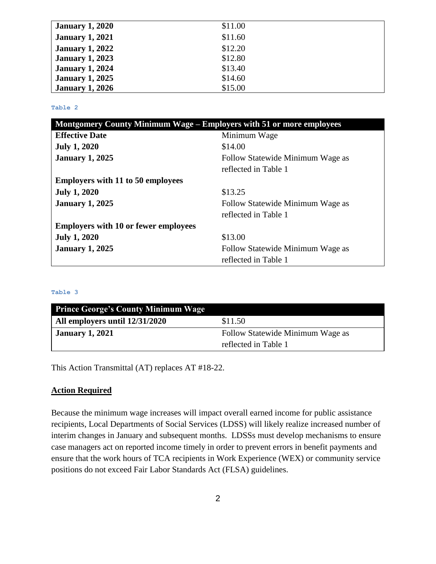| <b>January 1, 2020</b> | \$11.00 |
|------------------------|---------|
| <b>January 1, 2021</b> | \$11.60 |
| <b>January 1, 2022</b> | \$12.20 |
| <b>January 1, 2023</b> | \$12.80 |
| <b>January 1, 2024</b> | \$13.40 |
| <b>January 1, 2025</b> | \$14.60 |
| <b>January 1, 2026</b> | \$15.00 |

**Table 2**

| Montgomery County Minimum Wage – Employers with 51 or more employees |                                  |
|----------------------------------------------------------------------|----------------------------------|
| <b>Effective Date</b>                                                | Minimum Wage                     |
| <b>July 1, 2020</b>                                                  | \$14.00                          |
| <b>January 1, 2025</b>                                               | Follow Statewide Minimum Wage as |
|                                                                      | reflected in Table 1             |
| <b>Employers with 11 to 50 employees</b>                             |                                  |
| <b>July 1, 2020</b>                                                  | \$13.25                          |
| <b>January 1, 2025</b>                                               | Follow Statewide Minimum Wage as |
|                                                                      | reflected in Table 1             |
| <b>Employers with 10 or fewer employees</b>                          |                                  |
| <b>July 1, 2020</b>                                                  | \$13.00                          |
| <b>January 1, 2025</b>                                               | Follow Statewide Minimum Wage as |
|                                                                      | reflected in Table 1             |

#### **Table 3**

| <b>Prince George's County Minimum Wage</b> |                                  |
|--------------------------------------------|----------------------------------|
| All employers until 12/31/2020             | \$11.50                          |
| <b>January 1, 2021</b>                     | Follow Statewide Minimum Wage as |
|                                            | reflected in Table 1             |

This Action Transmittal (AT) replaces AT #18-22.

#### **Action Required**

Because the minimum wage increases will impact overall earned income for public assistance recipients, Local Departments of Social Services (LDSS) will likely realize increased number of interim changes in January and subsequent months. LDSSs must develop mechanisms to ensure case managers act on reported income timely in order to prevent errors in benefit payments and ensure that the work hours of TCA recipients in Work Experience (WEX) or community service positions do not exceed Fair Labor Standards Act (FLSA) guidelines.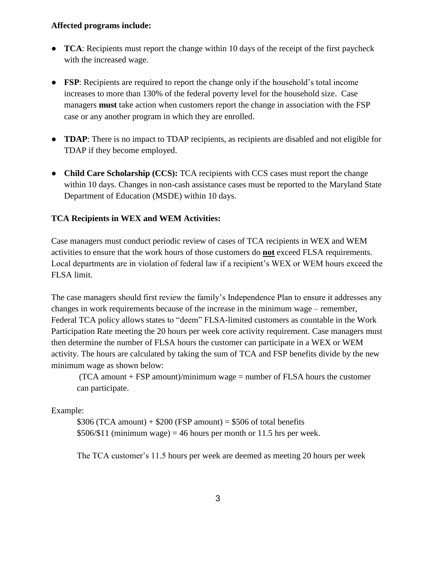#### **Affected programs include:**

- **TCA**: Recipients must report the change within 10 days of the receipt of the first paycheck with the increased wage.
- **FSP**: Recipients are required to report the change only if the household's total income increases to more than 130% of the federal poverty level for the household size. Case managers **must** take action when customers report the change in association with the FSP case or any another program in which they are enrolled.
- **TDAP**: There is no impact to TDAP recipients, as recipients are disabled and not eligible for TDAP if they become employed.
- **Child Care Scholarship** (CCS): TCA recipients with CCS cases must report the change within 10 days. Changes in non-cash assistance cases must be reported to the Maryland State Department of Education (MSDE) within 10 days.

#### **TCA Recipients in WEX and WEM Activities:**

Case managers must conduct periodic review of cases of TCA recipients in WEX and WEM activities to ensure that the work hours of those customers do **not** exceed FLSA requirements. Local departments are in violation of federal law if a recipient's WEX or WEM hours exceed the FLSA limit.

The case managers should first review the family's Independence Plan to ensure it addresses any changes in work requirements because of the increase in the minimum wage – remember, Federal TCA policy allows states to "deem" FLSA-limited customers as countable in the Work Participation Rate meeting the 20 hours per week core activity requirement. Case managers must then determine the number of FLSA hours the customer can participate in a WEX or WEM activity. The hours are calculated by taking the sum of TCA and FSP benefits divide by the new minimum wage as shown below:

 $(TCA amount + FSP amount)/minimum wage = number of FLSA hours the customer$ can participate.

#### Example:

 $$306 (TCA amount) + $200 (FSP amount) = $506 of total benefits$  $$506/\$11$  (minimum wage) = 46 hours per month or 11.5 hrs per week.

The TCA customer's 11.5 hours per week are deemed as meeting 20 hours per week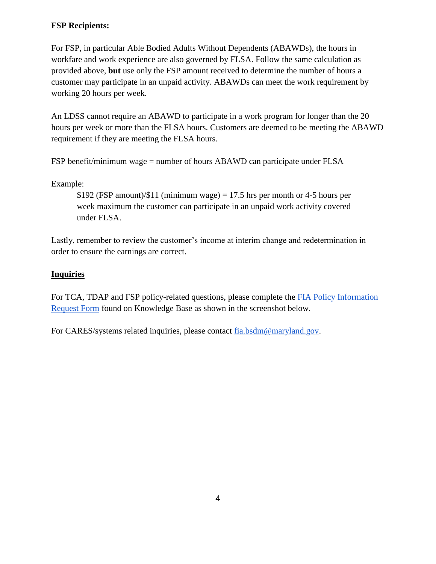## **FSP Recipients:**

For FSP, in particular Able Bodied Adults Without Dependents (ABAWDs), the hours in workfare and work experience are also governed by FLSA. Follow the same calculation as provided above, **but** use only the FSP amount received to determine the number of hours a customer may participate in an unpaid activity. ABAWDs can meet the work requirement by working 20 hours per week.

An LDSS cannot require an ABAWD to participate in a work program for longer than the 20 hours per week or more than the FLSA hours. Customers are deemed to be meeting the ABAWD requirement if they are meeting the FLSA hours.

FSP benefit/minimum wage = number of hours ABAWD can participate under FLSA

Example:

 $$192$  (FSP amount)/ $$11$  (minimum wage) = 17.5 hrs per month or 4-5 hours per week maximum the customer can participate in an unpaid work activity covered under FLSA.

Lastly, remember to review the customer's income at interim change and redetermination in order to ensure the earnings are correct.

### **Inquiries**

For TCA, TDAP and FSP policy-related questions, please complete the [FIA Policy Information](http://kb.dhs.maryland.gov/family-investment-administration/contact-us-with-your-fia-program-eligibility-policy-question/)  [Request Form](http://kb.dhs.maryland.gov/family-investment-administration/contact-us-with-your-fia-program-eligibility-policy-question/) found on Knowledge Base as shown in the screenshot below.

For CARES/systems related inquiries, please contact [fia.bsdm@maryland.gov.](mailto:fia.bsdm@maryland.gov)